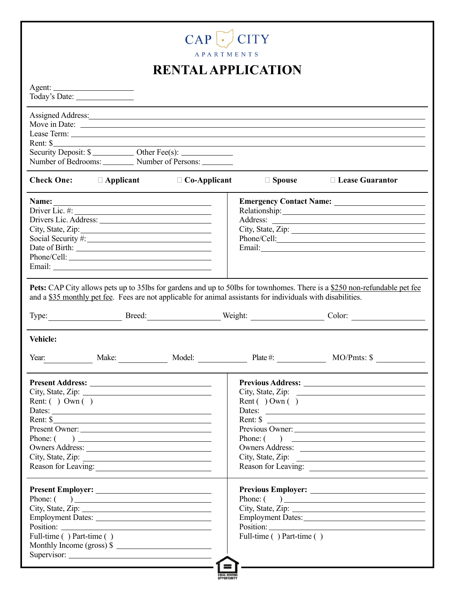| CAP                                                                                                                                                                                                                                                                                                                                       |                                                        |                                                                                                                                                                                                                                |  |  |
|-------------------------------------------------------------------------------------------------------------------------------------------------------------------------------------------------------------------------------------------------------------------------------------------------------------------------------------------|--------------------------------------------------------|--------------------------------------------------------------------------------------------------------------------------------------------------------------------------------------------------------------------------------|--|--|
| APARTMENTS<br><b>RENTAL APPLICATION</b>                                                                                                                                                                                                                                                                                                   |                                                        |                                                                                                                                                                                                                                |  |  |
|                                                                                                                                                                                                                                                                                                                                           |                                                        |                                                                                                                                                                                                                                |  |  |
| Assigned Address: <u>Assigned Address:</u><br>Rent: \$<br>Number of Bedrooms: __________ Number of Persons: _________                                                                                                                                                                                                                     |                                                        |                                                                                                                                                                                                                                |  |  |
| <b>Check One:</b><br>$\Box$ Applicant<br>$\Box$ Co-Applicant                                                                                                                                                                                                                                                                              | $\Box$ Spouse                                          | $\Box$ Lease Guarantor                                                                                                                                                                                                         |  |  |
| Name:<br><u> 1980 - Johann Barn, mars eta bainar eta baina eta baina eta baina eta baina eta baina eta baina eta baina e</u><br>Driver Lic. #: $\qquad \qquad$<br>City, State, Zip: 2000                                                                                                                                                  |                                                        | City, State, Zip:<br>Phone/Cell:                                                                                                                                                                                               |  |  |
| Pets: CAP City allows pets up to 35lbs for gardens and up to 50lbs for townhomes. There is a \$250 non-refundable pet fee<br>and a \$35 monthly pet fee. Fees are not applicable for animal assistants for individuals with disabilities.                                                                                                 |                                                        |                                                                                                                                                                                                                                |  |  |
| Type:                                                                                                                                                                                                                                                                                                                                     |                                                        | Breed: Weight: Color: Color: Color: Color: Color: Color: Color: Color: Color: Color: Color: Color: Color: Color: Color: Color: Color: Color: Color: Color: Color: Color: Color: Color: Color: Color: Color: Color: Color: Colo |  |  |
| <b>Vehicle:</b><br>Make: Model: Model:<br>Year:                                                                                                                                                                                                                                                                                           | Plate $\#$ :                                           |                                                                                                                                                                                                                                |  |  |
| City, State, Zip: $\frac{1}{2}$<br>Rent: $( )$ Own $( )$<br>Dates: $\overline{\phantom{a}}$<br>Rent: \$<br><u> 1989 - Johann Barbara, martin amerikan basar dan berasal dalam basa dalam basa dalam basa dalam basa dalam b</u><br>Present Owner:<br>Phone: $\left( \qquad \right)$<br>Owners Address:<br>City, State, Zip: $\frac{1}{2}$ | Rent ( $\overline{)}$ Own ( $\overline{)}$<br>Phone: ( | City, State, Zip: $\qquad \qquad$<br>Dates:<br>Rent: $\sqrt{\ }$<br>Owners Address:                                                                                                                                            |  |  |
| Phone: $\begin{pmatrix} 1 & 1 \\ 1 & 1 \end{pmatrix}$<br>the contract of the contract of the contract of the contract of the<br>Full-time () Part-time ()<br>Monthly Income (gross) $\frac{1}{2}$                                                                                                                                         | Position:<br>Full-time () Part-time ()                 | Phone: $\begin{pmatrix} 1 & 1 \\ 1 & 1 \end{pmatrix}$<br>City, State, Zip:                                                                                                                                                     |  |  |